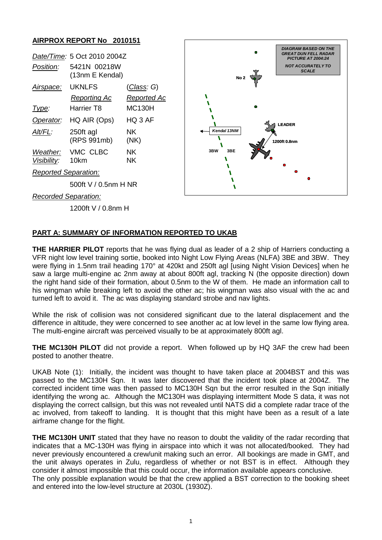## **AIRPROX REPORT No 2010151**

| Date/Time: 5 Oct 2010 2004Z |                                 |                    |                 | <b>DIAGRAM BASED ON THE</b><br><b>GREAT DUN FELL RADAR</b><br><b>PICTURE AT 2004:24</b> |
|-----------------------------|---------------------------------|--------------------|-----------------|-----------------------------------------------------------------------------------------|
| Position:                   | 5421N 00218W<br>(13nm E Kendal) |                    | No <sub>2</sub> | <b>NOT ACCURATELY TO</b><br><b>SCALE</b>                                                |
| Airspace:                   | <b>UKNLFS</b>                   | <u>(Class</u> : G) |                 |                                                                                         |
|                             | <b>Reporting Ac</b>             | Reported Ac        |                 |                                                                                         |
| Type:                       | Harrier T8                      | <b>MC130H</b>      |                 |                                                                                         |
| Operator:                   | HQ AIR (Ops)                    | HQ 3 AF            |                 | <b>LEADER</b>                                                                           |
| Alt/FL:                     | 250ft agl<br>(RPS 991mb)        | NK.<br>(NK)        | Kendal 13NM     | 1200ft 0.8nm                                                                            |
| Weather:<br>Visibility:     | VMC CLBC<br>10km                | NK.<br><b>NK</b>   | 3BW<br>3BE      |                                                                                         |
| <b>Reported Separation:</b> |                                 |                    |                 |                                                                                         |
| 500ft V / 0.5nm H NR        |                                 |                    |                 | ۰                                                                                       |
|                             | <b>Recorded Separation:</b>     |                    |                 |                                                                                         |
|                             | 1200ft V / 0.8nm H              |                    |                 |                                                                                         |

## **PART A: SUMMARY OF INFORMATION REPORTED TO UKAB**

**THE HARRIER PILOT** reports that he was flying dual as leader of a 2 ship of Harriers conducting a VFR night low level training sortie, booked into Night Low Flying Areas (NLFA) 3BE and 3BW. They were flying in 1.5nm trail heading 170° at 420kt and 250ft agl [using Night Vision Devices] when he saw a large multi-engine ac 2nm away at about 800ft agl, tracking N (the opposite direction) down the right hand side of their formation, about 0.5nm to the W of them. He made an information call to his wingman while breaking left to avoid the other ac; his wingman was also visual with the ac and turned left to avoid it. The ac was displaying standard strobe and nav lights.

While the risk of collision was not considered significant due to the lateral displacement and the difference in altitude, they were concerned to see another ac at low level in the same low flying area. The multi-engine aircraft was perceived visually to be at approximately 800ft agl.

**THE MC130H PILOT** did not provide a report. When followed up by HQ 3AF the crew had been posted to another theatre.

UKAB Note (1): Initially, the incident was thought to have taken place at 2004BST and this was passed to the MC130H Sqn. It was later discovered that the incident took place at 2004Z. The corrected incident time was then passed to MC130H Sqn but the error resulted in the Sqn initially identifying the wrong ac. Although the MC130H was displaying intermittent Mode S data, it was not displaying the correct callsign, but this was not revealed until NATS did a complete radar trace of the ac involved, from takeoff to landing. It is thought that this might have been as a result of a late airframe change for the flight.

**THE MC130H UNIT** stated that they have no reason to doubt the validity of the radar recording that indicates that a MC-130H was flying in airspace into which it was not allocated/booked. They had never previously encountered a crew/unit making such an error. All bookings are made in GMT, and the unit always operates in Zulu, regardless of whether or not BST is in effect. Although they consider it almost impossible that this could occur, the information available appears conclusive. The only possible explanation would be that the crew applied a BST correction to the booking sheet and entered into the low-level structure at 2030L (1930Z).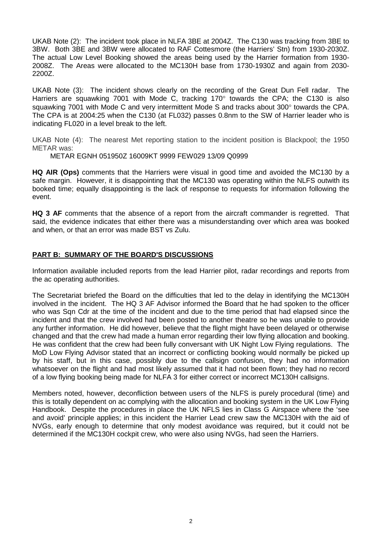UKAB Note (2): The incident took place in NLFA 3BE at 2004Z. The C130 was tracking from 3BE to 3BW. Both 3BE and 3BW were allocated to RAF Cottesmore (the Harriers' Stn) from 1930-2030Z. The actual Low Level Booking showed the areas being used by the Harrier formation from 1930- 2008Z. The Areas were allocated to the MC130H base from 1730-1930Z and again from 2030- 2200Z.

UKAB Note (3): The incident shows clearly on the recording of the Great Dun Fell radar. The Harriers are squawking 7001 with Mode C, tracking 170° towards the CPA; the C130 is also squawking 7001 with Mode C and very intermittent Mode S and tracks about 300° towards the CPA. The CPA is at 2004:25 when the C130 (at FL032) passes 0.8nm to the SW of Harrier leader who is indicating FL020 in a level break to the left.

UKAB Note (4): The nearest Met reporting station to the incident position is Blackpool; the 1950 METAR was:

METAR EGNH 051950Z 16009KT 9999 FEW029 13/09 Q0999

**HQ AIR (Ops)** comments that the Harriers were visual in good time and avoided the MC130 by a safe margin. However, it is disappointing that the MC130 was operating within the NLFS outwith its booked time; equally disappointing is the lack of response to requests for information following the event.

**HQ 3 AF** comments that the absence of a report from the aircraft commander is regretted. That said, the evidence indicates that either there was a misunderstanding over which area was booked and when, or that an error was made BST vs Zulu.

## **PART B: SUMMARY OF THE BOARD'S DISCUSSIONS**

Information available included reports from the lead Harrier pilot, radar recordings and reports from the ac operating authorities.

The Secretariat briefed the Board on the difficulties that led to the delay in identifying the MC130H involved in the incident. The HQ 3 AF Advisor informed the Board that he had spoken to the officer who was Sqn Cdr at the time of the incident and due to the time period that had elapsed since the incident and that the crew involved had been posted to another theatre so he was unable to provide any further information. He did however, believe that the flight might have been delayed or otherwise changed and that the crew had made a human error regarding their low flying allocation and booking. He was confident that the crew had been fully conversant with UK Night Low Flying regulations. The MoD Low Flying Advisor stated that an incorrect or conflicting booking would normally be picked up by his staff, but in this case, possibly due to the callsign confusion, they had no information whatsoever on the flight and had most likely assumed that it had not been flown; they had no record of a low flying booking being made for NLFA 3 for either correct or incorrect MC130H callsigns.

Members noted, however, deconfliction between users of the NLFS is purely procedural (time) and this is totally dependent on ac complying with the allocation and booking system in the UK Low Flying Handbook. Despite the procedures in place the UK NFLS lies in Class G Airspace where the 'see and avoid' principle applies; in this incident the Harrier Lead crew saw the MC130H with the aid of NVGs, early enough to determine that only modest avoidance was required, but it could not be determined if the MC130H cockpit crew, who were also using NVGs, had seen the Harriers.